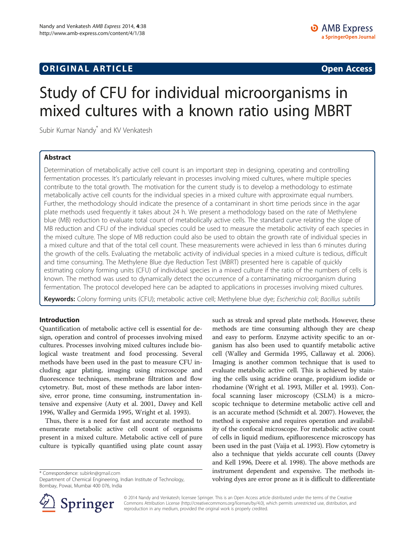## **ORIGINAL ARTICLE CONSUMING A LIGACION CONSUMING A LIGACION CONSUMING A LIGACION**

# Study of CFU for individual microorganisms in mixed cultures with a known ratio using MBRT

Subir Kumar Nandy<sup>\*</sup> and KV Venkatesh

## Abstract

Determination of metabolically active cell count is an important step in designing, operating and controlling fermentation processes. It's particularly relevant in processes involving mixed cultures, where multiple species contribute to the total growth. The motivation for the current study is to develop a methodology to estimate metabolically active cell counts for the individual species in a mixed culture with approximate equal numbers. Further, the methodology should indicate the presence of a contaminant in short time periods since in the agar plate methods used frequently it takes about 24 h. We present a methodology based on the rate of Methylene blue (MB) reduction to evaluate total count of metabolically active cells. The standard curve relating the slope of MB reduction and CFU of the individual species could be used to measure the metabolic activity of each species in the mixed culture. The slope of MB reduction could also be used to obtain the growth rate of individual species in a mixed culture and that of the total cell count. These measurements were achieved in less than 6 minutes during the growth of the cells. Evaluating the metabolic activity of individual species in a mixed culture is tedious, difficult and time consuming. The Methylene Blue dye Reduction Test (MBRT) presented here is capable of quickly estimating colony forming units (CFU) of individual species in a mixed culture if the ratio of the numbers of cells is known. The method was used to dynamically detect the occurrence of a contaminating microorganism during fermentation. The protocol developed here can be adapted to applications in processes involving mixed cultures.

Keywords: Colony forming units (CFU); metabolic active cell; Methylene blue dye; Escherichia coli; Bacillus subtilis

## Introduction

Quantification of metabolic active cell is essential for design, operation and control of processes involving mixed cultures. Processes involving mixed cultures include biological waste treatment and food processing. Several methods have been used in the past to measure CFU including agar plating, imaging using microscope and fluorescence techniques, membrane filtration and flow cytometry. But, most of these methods are labor intensive, error prone, time consuming, instrumentation intensive and expensive (Auty et al. [2001](#page-6-0), Davey and Kell [1996](#page-6-0), Walley and Germida [1995,](#page-6-0) Wright et al. [1993](#page-6-0)).

Thus, there is a need for fast and accurate method to enumerate metabolic active cell count of organisms present in a mixed culture. Metabolic active cell of pure culture is typically quantified using plate count assay

\* Correspondence: [subirkn@gmail.com](mailto:subirkn@gmail.com)

Department of Chemical Engineering, Indian Institute of Technology, Bombay, Powai, Mumbai 400 076, India

such as streak and spread plate methods. However, these methods are time consuming although they are cheap and easy to perform. Enzyme activity specific to an organism has also been used to quantify metabolic active cell (Walley and Germida [1995](#page-6-0), Callaway et al. [2006](#page-6-0)). Imaging is another common technique that is used to evaluate metabolic active cell. This is achieved by staining the cells using acridine orange, propidium iodide or rhodamine (Wright et al. [1993,](#page-6-0) Miller et al. [1993\)](#page-6-0). Confocal scanning laser microscopy (CSLM) is a microscopic technique to determine metabolic active cell and is an accurate method (Schmidt et al. [2007\)](#page-6-0). However, the method is expensive and requires operation and availability of the confocal microscope. For metabolic active count of cells in liquid medium, epifluorescence microscopy has been used in the past (Vaija et al. [1993](#page-6-0)). Flow cytometry is also a technique that yields accurate cell counts (Davey and Kell [1996,](#page-6-0) Deere et al. [1998\)](#page-6-0). The above methods are instrument dependent and expensive. The methods involving dyes are error prone as it is difficult to differentiate



© 2014 Nandy and Venkatesh; licensee Springer. This is an Open Access article distributed under the terms of the Creative Commons Attribution License (<http://creativecommons.org/licenses/by/4.0>), which permits unrestricted use, distribution, and reproduction in any medium, provided the original work is properly credited.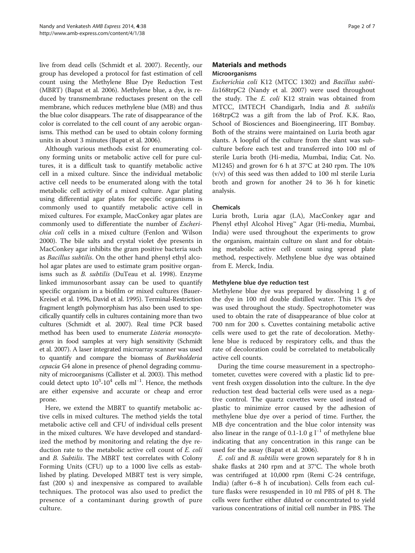live from dead cells (Schmidt et al. [2007\)](#page-6-0). Recently, our group has developed a protocol for fast estimation of cell count using the Methylene Blue Dye Reduction Test (MBRT) (Bapat et al. [2006](#page-6-0)). Methylene blue, a dye, is reduced by transmembrane reductases present on the cell membrane, which reduces methylene blue (MB) and thus the blue color disappears. The rate of disappearance of the color is correlated to the cell count of any aerobic organisms. This method can be used to obtain colony forming units in about 3 minutes (Bapat et al. [2006](#page-6-0)).

Although various methods exist for enumerating colony forming units or metabolic active cell for pure cultures, it is a difficult task to quantify metabolic active cell in a mixed culture. Since the individual metabolic active cell needs to be enumerated along with the total metabolic cell activity of a mixed culture. Agar plating using differential agar plates for specific organisms is commonly used to quantify metabolic active cell in mixed cultures. For example, MacConkey agar plates are commonly used to differentiate the number of Escherichia coli cells in a mixed culture (Fenlon and Wilson [2000](#page-6-0)). The bile salts and crystal violet dye presents in MacConkey agar inhibits the gram positive bacteria such as Bacillus subtilis. On the other hand phenyl ethyl alcohol agar plates are used to estimate gram positive organisms such as B. subtilis (DuTeau et al. [1998](#page-6-0)). Enzyme linked immunosorbant assay can be used to quantify specific organism in a biofilm or mixed cultures (Bauer-Kreisel et al. [1996](#page-6-0), David et al. [1995\)](#page-6-0). Terminal-Restriction fragment length polymorphism has also been used to specifically quantify cells in cultures containing more than two cultures (Schmidt et al. [2007\)](#page-6-0). Real time PCR based method has been used to enumerate Listeria monocytogenes in food samples at very high sensitivity (Schmidt et al. [2007\)](#page-6-0). A laser integrated microarray scanner was used to quantify and compare the biomass of Burkholderia cepacia G4 alone in presence of phenol degrading community of microorganisms (Callister et al. [2003](#page-6-0)). This method could detect upto  $10^3$ - $10^4$  cells ml<sup>-1</sup>. Hence, the methods are either expensive and accurate or cheap and error prone.

Here, we extend the MBRT to quantify metabolic active cells in mixed cultures. The method yields the total metabolic active cell and CFU of individual cells present in the mixed cultures. We have developed and standardized the method by monitoring and relating the dye reduction rate to the metabolic active cell count of E. coli and B. Subtilis. The MBRT test correlates with Colony Forming Units (CFU) up to a 1000 live cells as established by plating. Developed MBRT test is very simple, fast (200 s) and inexpensive as compared to available techniques. The protocol was also used to predict the presence of a contaminant during growth of pure culture.

## Materials and methods Microorganisms

Escherichia coli K12 (MTCC 1302) and Bacillus subtilis168trpC2 (Nandy et al. [2007](#page-6-0)) were used throughout the study. The E. coli K12 strain was obtained from MTCC, IMTECH Chandigarh, India and B. subtilis 168trpC2 was a gift from the lab of Prof. K.K. Rao, School of Biosciences and Bioengineering, IIT Bombay. Both of the strains were maintained on Luria broth agar slants. A loopful of the culture from the slant was subculture before each test and transferred into 100 ml of sterile Luria broth (Hi-media, Mumbai, India; Cat. No. M1245) and grown for 6 h at 37°C at 240 rpm. The 10% (v/v) of this seed was then added to 100 ml sterile Luria broth and grown for another 24 to 36 h for kinetic analysis.

## Chemicals

Luria broth, Luria agar (LA), MacConkey agar and Phenyl ethyl Alcohol Hiveg™ Agar (Hi-media, Mumbai, India) were used throughout the experiments to grow the organism, maintain culture on slant and for obtaining metabolic active cell count using spread plate method, respectively. Methylene blue dye was obtained from E. Merck, India.

#### Methylene blue dye reduction test

Methylene blue dye was prepared by dissolving 1 g of the dye in 100 ml double distilled water. This 1% dye was used throughout the study. Spectrophotometer was used to obtain the rate of disappearance of blue color at 700 nm for 200 s. Cuvettes containing metabolic active cells were used to get the rate of decoloration. Methylene blue is reduced by respiratory cells, and thus the rate of decoloration could be correlated to metabolically active cell counts.

During the time course measurement in a spectrophotometer, cuvettes were covered with a plastic lid to prevent fresh oxygen dissolution into the culture. In the dye reduction test dead bacterial cells were used as a negative control. The quartz cuvettes were used instead of plastic to minimize error caused by the adhesion of methylene blue dye over a period of time. Further, the MB dye concentration and the blue color intensity was also linear in the range of 0.1-1.0 g  $l^{-1}$  of methylene blue indicating that any concentration in this range can be used for the assay (Bapat et al. [2006\)](#page-6-0).

E. coli and B. subtilis were grown separately for 8 h in shake flasks at 240 rpm and at 37°C. The whole broth was centrifuged at 10,000 rpm (Remi C-24 centrifuge, India) (after 6–8 h of incubation). Cells from each culture flasks were resuspended in 10 ml PBS of pH 8. The cells were further either diluted or concentrated to yield various concentrations of initial cell number in PBS. The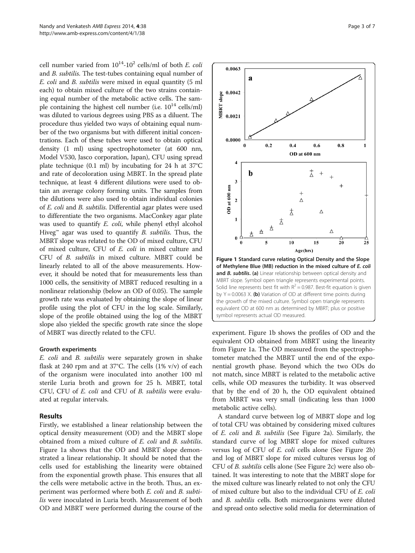cell number varied from  $10^{14}$ - $10^{2}$  cells/ml of both *E. coli* and B. subtilis. The test-tubes containing equal number of E. coli and B. subtilis were mixed in equal quantity (5 ml each) to obtain mixed culture of the two strains containing equal number of the metabolic active cells. The sample containing the highest cell number (i.e.  $10^{14}$  cells/ml) was diluted to various degrees using PBS as a diluent. The procedure thus yielded two ways of obtaining equal number of the two organisms but with different initial concentrations. Each of these tubes were used to obtain optical density (1 ml) using spectrophotometer (at 600 nm, Model V530, Jasco corporation, Japan), CFU using spread plate technique (0.1 ml) by incubating for 24 h at 37°C and rate of decoloration using MBRT. In the spread plate technique, at least 4 different dilutions were used to obtain an average colony forming units. The samples from the dilutions were also used to obtain individual colonies of E. coli and B. subtilis. Differential agar plates were used to differentiate the two organisms. MacConkey agar plate was used to quantify *E. coli*, while phenyl ethyl alcohol Hiveg<sup>™</sup> agar was used to quantify *B. subtilis*. Thus, the MBRT slope was related to the OD of mixed culture, CFU of mixed culture, CFU of E. coli in mixed culture and CFU of B. subtilis in mixed culture. MBRT could be linearly related to all of the above measurements. However, it should be noted that for measurements less than 1000 cells, the sensitivity of MBRT reduced resulting in a nonlinear relationship (below an OD of 0.05). The sample growth rate was evaluated by obtaining the slope of linear profile using the plot of CFU in the log scale. Similarly, slope of the profile obtained using the log of the MBRT slope also yielded the specific growth rate since the slope of MBRT was directly related to the CFU.

#### Growth experiments

E. coli and B. subtilis were separately grown in shake flask at 240 rpm and at 37°C. The cells  $(1\% \text{ v/v})$  of each of the organism were inoculated into another 100 ml sterile Luria broth and grown for 25 h. MBRT, total CFU, CFU of E. coli and CFU of B. subtilis were evaluated at regular intervals.

## Results

Firstly, we established a linear relationship between the optical density measurement (OD) and the MBRT slope obtained from a mixed culture of E. coli and B. subtilis. Figure 1a shows that the OD and MBRT slope demonstrated a linear relationship. It should be noted that the cells used for establishing the linearity were obtained from the exponential growth phase. This ensures that all the cells were metabolic active in the broth. Thus, an experiment was performed where both E. coli and B. subtilis were inoculated in Luria broth. Measurement of both OD and MBRT were performed during the course of the



experiment. Figure 1b shows the profiles of OD and the equivalent OD obtained from MBRT using the linearity from Figure 1a. The OD measured from the spectrophotometer matched the MBRT until the end of the exponential growth phase. Beyond which the two ODs do not match, since MBRT is related to the metabolic active cells, while OD measures the turbidity. It was observed that by the end of 20 h, the OD equivalent obtained from MBRT was very small (indicating less than 1000 metabolic active cells).

symbol represents actual OD measured.

A standard curve between log of MBRT slope and log of total CFU was obtained by considering mixed cultures of E. coli and B. subtilis (See Figure [2](#page-3-0)a). Similarly, the standard curve of log MBRT slope for mixed cultures versus log of CFU of E. coli cells alone (See Figure [2](#page-3-0)b) and log of MBRT slope for mixed cultures versus log of CFU of B. subtilis cells alone (See Figure [2c](#page-3-0)) were also obtained. It was interesting to note that the MBRT slope for the mixed culture was linearly related to not only the CFU of mixed culture but also to the individual CFU of E. coli and *B. subtilis* cells. Both microorganisms were diluted and spread onto selective solid media for determination of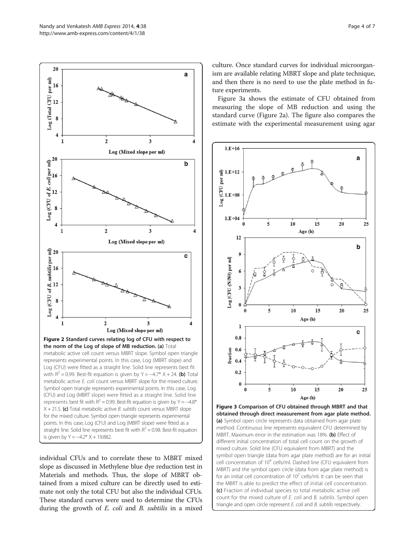<span id="page-3-0"></span>

individual CFUs and to correlate these to MBRT mixed slope as discussed in Methylene blue dye reduction test in Materials and methods. Thus, the slope of MBRT obtained from a mixed culture can be directly used to estimate not only the total CFU but also the individual CFUs. These standard curves were used to determine the CFUs during the growth of E. coli and B. subtilis in a mixed

culture. Once standard curves for individual microorganism are available relating MBRT slope and plate technique, and then there is no need to use the plate method in future experiments.

Figure 3a shows the estimate of CFU obtained from measuring the slope of MB reduction and using the standard curve (Figure 2a). The figure also compares the estimate with the experimental measurement using agar



Figure 3 Comparison of CFU obtained through MBRT and that obtained through direct measurement from agar plate method. (a) Symbol open circle represents data obtained from agar plate method. Continuous line represents equivalent CFU determined by MBRT. Maximum error in the estimation was 18%. (b) Effect of different initial concentration of total cell count on the growth of mixed culture. Solid line (CFU equivalent from MBRT) and the symbol open triangle (data from agar plate method) are for an initial cell concentration of 10<sup>4</sup> cells/ml. Dashed line (CFU equivalent from MBRT) and the symbol open circle (data from agar plate method) is for an initial cell concentration of  $10^2$  cells/ml. It can be seen that the MBRT is able to predict the effect of initial cell concentration. (c) Fraction of individual species to total metabolic active cell count for the mixed culture of E. coli and B. subtilis. Symbol open triangle and open circle represent E. coli and B. subtilis respectively.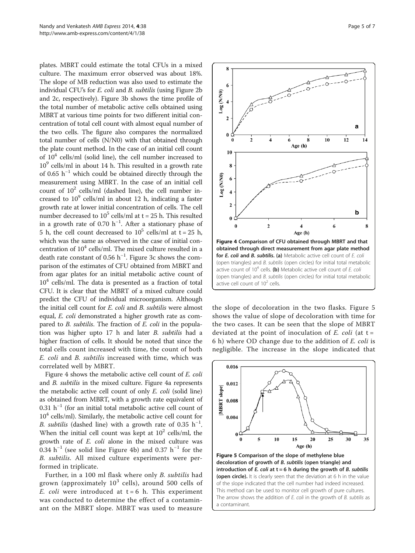<span id="page-4-0"></span>plates. MBRT could estimate the total CFUs in a mixed culture. The maximum error observed was about 18%. The slope of MB reduction was also used to estimate the individual CFU's for E. coli and B. subtilis (using Figure [2](#page-3-0)b and [2c](#page-3-0), respectively). Figure [3b](#page-3-0) shows the time profile of the total number of metabolic active cells obtained using MBRT at various time points for two different initial concentration of total cell count with almost equal number of the two cells. The figure also compares the normalized total number of cells (N/N0) with that obtained through the plate count method. In the case of an initial cell count of  $10<sup>4</sup>$  cells/ml (solid line), the cell number increased to  $10<sup>9</sup>$  cells/ml in about 14 h. This resulted in a growth rate of 0.65  $h^{-1}$  which could be obtained directly through the measurement using MBRT. In the case of an initial cell count of  $10^2$  cells/ml (dashed line), the cell number increased to  $10^9$  cells/ml in about 12 h, indicating a faster growth rate at lower initial concentration of cells. The cell number decreased to  $10^5$  cells/ml at t = 25 h. This resulted in a growth rate of 0.70 h−<sup>1</sup> . After a stationary phase of 5 h, the cell count decreased to  $10^5$  cells/ml at t = 25 h, which was the same as observed in the case of initial concentration of  $10^4$  cells/ml. The mixed culture resulted in a death rate constant of 0.56  $h^{-1}$ . Figure [3](#page-3-0)c shows the comparison of the estimates of CFU obtained from MBRT and from agar plates for an initial metabolic active count of  $10<sup>4</sup>$  cells/ml. The data is presented as a fraction of total CFU. It is clear that the MBRT of a mixed culture could predict the CFU of individual microorganism. Although the initial cell count for E. coli and B. subtilis were almost equal, E. coli demonstrated a higher growth rate as compared to *B. subtilis*. The fraction of *E. coli* in the population was higher upto 17 h and later B. subtilis had a higher fraction of cells. It should be noted that since the total cells count increased with time, the count of both E. coli and B. subtilis increased with time, which was correlated well by MBRT.

Figure 4 shows the metabolic active cell count of E. coli and B. subtilis in the mixed culture. Figure 4a represents the metabolic active cell count of only E. coli (solid line) as obtained from MBRT, with a growth rate equivalent of 0.31 h−<sup>1</sup> (for an initial total metabolic active cell count of  $10<sup>4</sup>$  cells/ml). Similarly, the metabolic active cell count for B. subtilis (dashed line) with a growth rate of 0.35  $h^{-1}$ . When the initial cell count was kept at  $10^2$  cells/ml, the growth rate of E. coli alone in the mixed culture was 0.34  $h^{-1}$  (see solid line Figure 4b) and 0.37  $h^{-1}$  for the B. subtilis. All mixed culture experiments were performed in triplicate.

Further, in a 100 ml flask where only B. subtilis had grown (approximately  $10^3$  cells), around 500 cells of E. coli were introduced at  $t = 6$  h. This experiment was conducted to determine the effect of a contaminant on the MBRT slope. MBRT was used to measure



8

(ON/N) 80<sup>-</sup>

**Log (N/N0)** 

obtained through direct measurement from agar plate method for E. coli and B. subtilis. (a) Metabolic active cell count of E. coli (open triangles) and B. subtilis (open circles) for initial total metabolic active count of  $10^4$  cells. (b) Metabolic active cell count of E. coli (open triangles) and B. subtilis (open circles) for initial total metabolic active cell count of  $10^2$  cells.

the slope of decoloration in the two flasks. Figure 5 shows the value of slope of decoloration with time for the two cases. It can be seen that the slope of MBRT deviated at the point of inoculation of  $E$ . coli (at t = 6 h) where OD change due to the addition of E. coli is negligible. The increase in the slope indicated that



of the slope indicated that the cell number had indeed increased. This method can be used to monitor cell growth of pure cultures. The arrow shows the addition of  $E$ . coli in the growth of  $B$ . subtilis as a contaminant.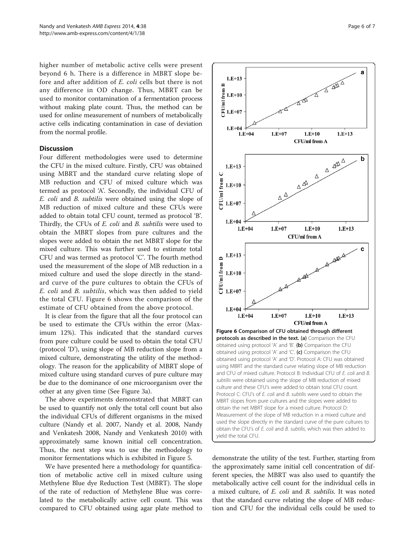higher number of metabolic active cells were present beyond 6 h. There is a difference in MBRT slope before and after addition of E. coli cells but there is not any difference in OD change. Thus, MBRT can be used to monitor contamination of a fermentation process without making plate count. Thus, the method can be used for online measurement of numbers of metabolically active cells indicating contamination in case of deviation from the normal profile.

#### **Discussion**

Four different methodologies were used to determine the CFU in the mixed culture. Firstly, CFU was obtained using MBRT and the standard curve relating slope of MB reduction and CFU of mixed culture which was termed as protocol 'A'. Secondly, the individual CFU of E. coli and B. subtilis were obtained using the slope of MB reduction of mixed culture and these CFUs were added to obtain total CFU count, termed as protocol 'B'. Thirdly, the CFUs of E. coli and B. subtilis were used to obtain the MBRT slopes from pure cultures and the slopes were added to obtain the net MBRT slope for the mixed culture. This was further used to estimate total CFU and was termed as protocol 'C'. The fourth method used the measurement of the slope of MB reduction in a mixed culture and used the slope directly in the standard curve of the pure cultures to obtain the CFUs of E. coli and B. subtilis, which was then added to yield the total CFU. Figure 6 shows the comparison of the estimate of CFU obtained from the above protocol.

It is clear from the figure that all the four protocol can be used to estimate the CFUs within the error (Maximum 12%). This indicated that the standard curves from pure culture could be used to obtain the total CFU (protocol 'D'), using slope of MB reduction slope from a mixed culture, demonstrating the utility of the methodology. The reason for the applicability of MBRT slope of mixed culture using standard curves of pure culture may be due to the dominance of one microorganism over the other at any given time (See Figure [3](#page-3-0)a).

The above experiments demonstrated that MBRT can be used to quantify not only the total cell count but also the individual CFUs of different organisms in the mixed culture (Nandy et al. [2007,](#page-6-0) Nandy et al. [2008,](#page-6-0) Nandy and Venkatesh [2008](#page-6-0), Nandy and Venkatesh [2010](#page-6-0)) with approximately same known initial cell concentration. Thus, the next step was to use the methodology to monitor fermentations which is exhibited in Figure [5](#page-4-0).

We have presented here a methodology for quantification of metabolic active cell in mixed culture using Methylene Blue dye Reduction Test (MBRT). The slope of the rate of reduction of Methylene Blue was correlated to the metabolically active cell count. This was compared to CFU obtained using agar plate method to



demonstrate the utility of the test. Further, starting from the approximately same initial cell concentration of different species, the MBRT was also used to quantify the metabolically active cell count for the individual cells in a mixed culture, of *E. coli* and *B. subtilis*. It was noted that the standard curve relating the slope of MB reduction and CFU for the individual cells could be used to